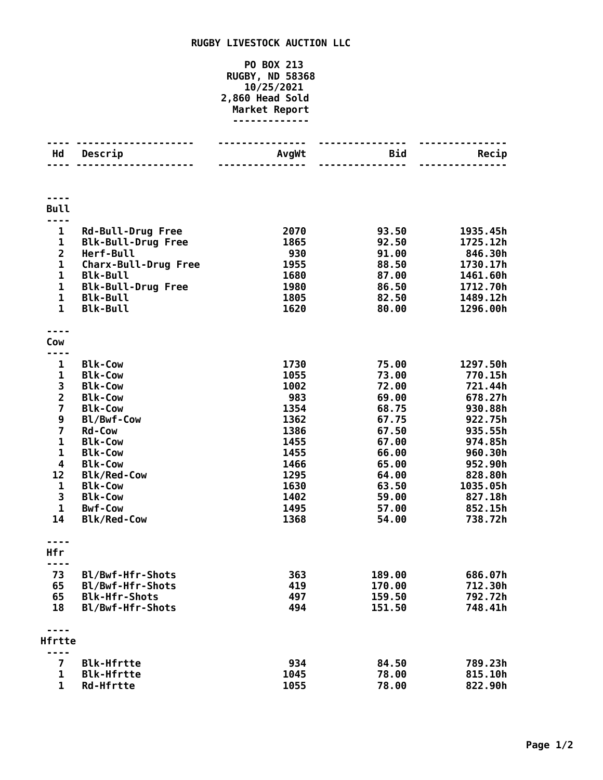## **RUGBY LIVESTOCK AUCTION LLC**

## **PO BOX 213 RUGBY, ND 58368 10/25/2021 2,860 Head Sold Market Report -------------**

| Hd                           | Descrip                                      | AvgWt        | <b>Bid</b>     | Recip                |
|------------------------------|----------------------------------------------|--------------|----------------|----------------------|
|                              |                                              |              |                |                      |
|                              |                                              |              |                |                      |
|                              |                                              |              |                |                      |
| <b>Bull</b>                  |                                              |              |                |                      |
| $\mathbf{1}$                 | <b>Rd-Bull-Drug Free</b>                     | 2070         | 93.50          | 1935.45h             |
| $\mathbf 1$                  | <b>Blk-Bull-Drug Free</b>                    | 1865         | 92.50          | 1725.12h             |
| $\overline{2}$               | Herf-Bull                                    | 930          | 91.00          | 846.30h              |
| $\mathbf{1}$                 | <b>Charx-Bull-Drug Free</b>                  | 1955         | 88.50          | 1730.17h             |
| $\mathbf{1}$                 | <b>Blk-Bull</b>                              | 1680         | 87.00          | 1461.60h             |
| $\mathbf{1}$<br>$\mathbf{1}$ | <b>Blk-Bull-Drug Free</b><br><b>Blk-Bull</b> | 1980<br>1805 | 86.50<br>82.50 | 1712.70h<br>1489.12h |
| $\mathbf{1}$                 | <b>Blk-Bull</b>                              | 1620         | 80.00          | 1296.00h             |
|                              |                                              |              |                |                      |
|                              |                                              |              |                |                      |
| Cow                          |                                              |              |                |                      |
| ----                         |                                              |              |                |                      |
| 1<br>$\mathbf 1$             | <b>Blk-Cow</b><br><b>Blk-Cow</b>             | 1730<br>1055 | 75.00<br>73.00 | 1297.50h<br>770.15h  |
| 3                            | <b>Blk-Cow</b>                               | 1002         | 72.00          | 721.44h              |
| $\overline{2}$               | <b>Blk-Cow</b>                               | 983          | 69.00          | 678.27h              |
| $\overline{\mathbf{z}}$      | <b>Blk-Cow</b>                               | 1354         | 68.75          | 930.88h              |
| 9                            | Bl/Bwf-Cow                                   | 1362         | 67.75          | 922.75h              |
| $\overline{\mathbf{z}}$      | <b>Rd-Cow</b>                                | 1386         | 67.50          | 935.55h              |
| $\mathbf 1$                  | <b>Blk-Cow</b>                               | 1455         | 67.00          | 974.85h              |
| 1                            | <b>Blk-Cow</b>                               | 1455         | 66.00          | 960.30h              |
| 4                            | <b>Blk-Cow</b>                               | 1466         | 65.00          | 952.90h              |
| 12                           | <b>Blk/Red-Cow</b>                           | 1295         | 64.00          | 828.80h              |
| $\mathbf{1}$                 | <b>Blk-Cow</b>                               | 1630         | 63.50          | 1035.05h             |
| 3                            | <b>Blk-Cow</b>                               | 1402         | 59.00          | 827.18h              |
| 1                            | <b>Bwf-Cow</b>                               | 1495         | 57.00          | 852.15h              |
| 14                           | <b>Blk/Red-Cow</b>                           | 1368         | 54.00          | 738.72h              |
|                              |                                              |              |                |                      |
| Hfr                          |                                              |              |                |                      |
|                              |                                              |              |                |                      |
| 73                           | Bl/Bwf-Hfr-Shots                             | 363          | 189.00         | 686.07h              |
| 65                           | Bl/Bwf-Hfr-Shots                             | 419          | 170.00         | 712.30h              |
| 65                           | <b>Blk-Hfr-Shots</b>                         | 497          | 159.50         | 792.72h              |
| 18                           | Bl/Bwf-Hfr-Shots                             | 494          | 151.50         | 748.41h              |
|                              |                                              |              |                |                      |
| Hfrtte                       |                                              |              |                |                      |
| $\overline{\mathbf{z}}$      | <b>Blk-Hfrtte</b>                            | 934          | 84.50          | 789.23h              |
| 1                            | <b>Blk-Hfrtte</b>                            | 1045         | 78.00          | 815.10h              |
| $\mathbf{1}$                 | <b>Rd-Hfrtte</b>                             | 1055         | 78.00          | 822.90h              |
|                              |                                              |              |                |                      |